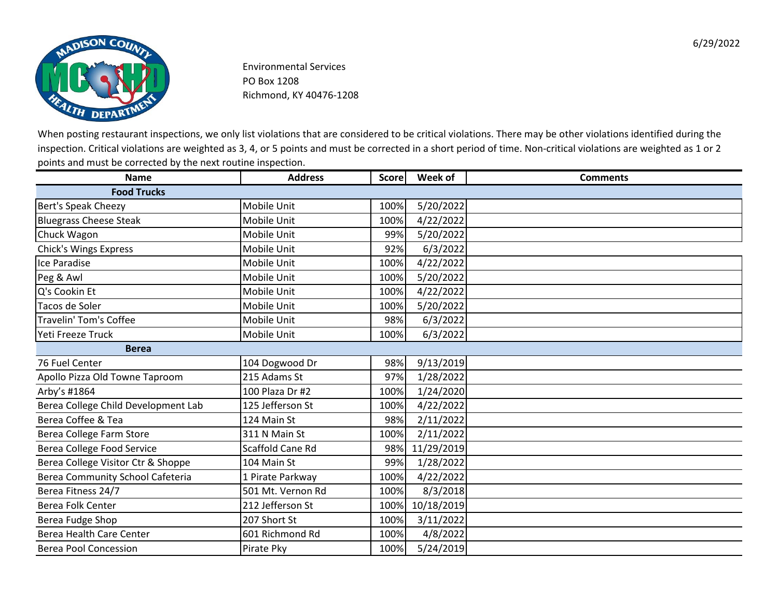

| <b>Name</b>                         | <b>Address</b>     | <b>Score</b> | Week of    | <b>Comments</b> |
|-------------------------------------|--------------------|--------------|------------|-----------------|
| <b>Food Trucks</b>                  |                    |              |            |                 |
| Bert's Speak Cheezy                 | Mobile Unit        | 100%         | 5/20/2022  |                 |
| <b>Bluegrass Cheese Steak</b>       | Mobile Unit        | 100%         | 4/22/2022  |                 |
| Chuck Wagon                         | <b>Mobile Unit</b> | 99%          | 5/20/2022  |                 |
| <b>Chick's Wings Express</b>        | Mobile Unit        | 92%          | 6/3/2022   |                 |
| Ice Paradise                        | Mobile Unit        | 100%         | 4/22/2022  |                 |
| Peg & Awl                           | Mobile Unit        | 100%         | 5/20/2022  |                 |
| Q's Cookin Et                       | Mobile Unit        | 100%         | 4/22/2022  |                 |
| Tacos de Soler                      | Mobile Unit        | 100%         | 5/20/2022  |                 |
| Travelin' Tom's Coffee              | <b>Mobile Unit</b> | 98%          | 6/3/2022   |                 |
| Yeti Freeze Truck                   | Mobile Unit        | 100%         | 6/3/2022   |                 |
| <b>Berea</b>                        |                    |              |            |                 |
| 76 Fuel Center                      | 104 Dogwood Dr     | 98%          | 9/13/2019  |                 |
| Apollo Pizza Old Towne Taproom      | 215 Adams St       | 97%          | 1/28/2022  |                 |
| Arby's #1864                        | 100 Plaza Dr #2    | 100%         | 1/24/2020  |                 |
| Berea College Child Development Lab | 125 Jefferson St   | 100%         | 4/22/2022  |                 |
| Berea Coffee & Tea                  | 124 Main St        | 98%          | 2/11/2022  |                 |
| Berea College Farm Store            | 311 N Main St      | 100%         | 2/11/2022  |                 |
| Berea College Food Service          | Scaffold Cane Rd   | 98%          | 11/29/2019 |                 |
| Berea College Visitor Ctr & Shoppe  | 104 Main St        | 99%          | 1/28/2022  |                 |
| Berea Community School Cafeteria    | 1 Pirate Parkway   | 100%         | 4/22/2022  |                 |
| Berea Fitness 24/7                  | 501 Mt. Vernon Rd  | 100%         | 8/3/2018   |                 |
| <b>Berea Folk Center</b>            | 212 Jefferson St   | 100%         | 10/18/2019 |                 |
| Berea Fudge Shop                    | 207 Short St       | 100%         | 3/11/2022  |                 |
| Berea Health Care Center            | 601 Richmond Rd    | 100%         | 4/8/2022   |                 |
| <b>Berea Pool Concession</b>        | Pirate Pky         | 100%         | 5/24/2019  |                 |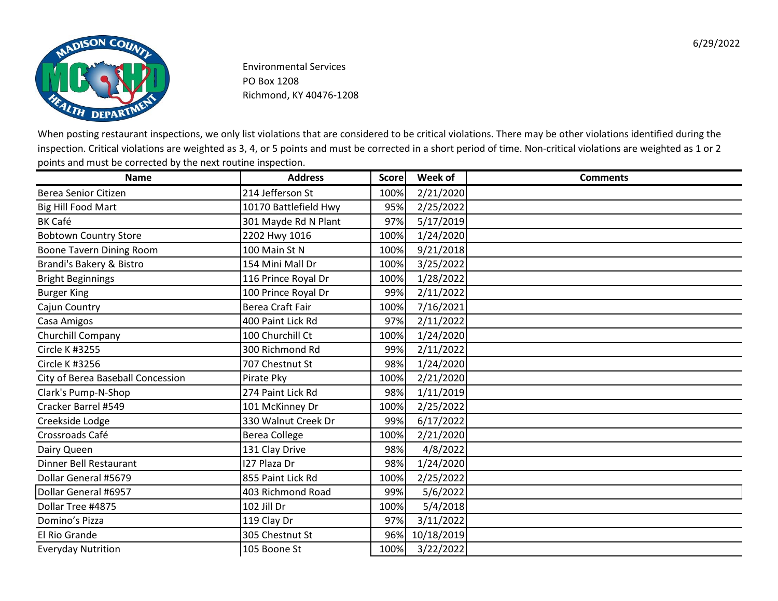

| <b>Name</b>                       | <b>Address</b>          | <b>Score</b> | Week of    | <b>Comments</b> |
|-----------------------------------|-------------------------|--------------|------------|-----------------|
| <b>Berea Senior Citizen</b>       | 214 Jefferson St        | 100%         | 2/21/2020  |                 |
| Big Hill Food Mart                | 10170 Battlefield Hwy   | 95%          | 2/25/2022  |                 |
| <b>BK Café</b>                    | 301 Mayde Rd N Plant    | 97%          | 5/17/2019  |                 |
| <b>Bobtown Country Store</b>      | 2202 Hwy 1016           | 100%         | 1/24/2020  |                 |
| <b>Boone Tavern Dining Room</b>   | 100 Main St N           | 100%         | 9/21/2018  |                 |
| Brandi's Bakery & Bistro          | 154 Mini Mall Dr        | 100%         | 3/25/2022  |                 |
| <b>Bright Beginnings</b>          | 116 Prince Royal Dr     | 100%         | 1/28/2022  |                 |
| <b>Burger King</b>                | 100 Prince Royal Dr     | 99%          | 2/11/2022  |                 |
| Cajun Country                     | <b>Berea Craft Fair</b> | 100%         | 7/16/2021  |                 |
| Casa Amigos                       | 400 Paint Lick Rd       | 97%          | 2/11/2022  |                 |
| Churchill Company                 | 100 Churchill Ct        | 100%         | 1/24/2020  |                 |
| <b>Circle K #3255</b>             | 300 Richmond Rd         | 99%          | 2/11/2022  |                 |
| Circle K #3256                    | 707 Chestnut St         | 98%          | 1/24/2020  |                 |
| City of Berea Baseball Concession | Pirate Pky              | 100%         | 2/21/2020  |                 |
| Clark's Pump-N-Shop               | 274 Paint Lick Rd       | 98%          | 1/11/2019  |                 |
| Cracker Barrel #549               | 101 McKinney Dr         | 100%         | 2/25/2022  |                 |
| Creekside Lodge                   | 330 Walnut Creek Dr     | 99%          | 6/17/2022  |                 |
| Crossroads Café                   | <b>Berea College</b>    | 100%         | 2/21/2020  |                 |
| Dairy Queen                       | 131 Clay Drive          | 98%          | 4/8/2022   |                 |
| Dinner Bell Restaurant            | 127 Plaza Dr            | 98%          | 1/24/2020  |                 |
| Dollar General #5679              | 855 Paint Lick Rd       | 100%         | 2/25/2022  |                 |
| Dollar General #6957              | 403 Richmond Road       | 99%          | 5/6/2022   |                 |
| Dollar Tree #4875                 | 102 Jill Dr             | 100%         | 5/4/2018   |                 |
| Domino's Pizza                    | 119 Clay Dr             | 97%          | 3/11/2022  |                 |
| El Rio Grande                     | 305 Chestnut St         | 96%          | 10/18/2019 |                 |
| <b>Everyday Nutrition</b>         | 105 Boone St            | 100%         | 3/22/2022  |                 |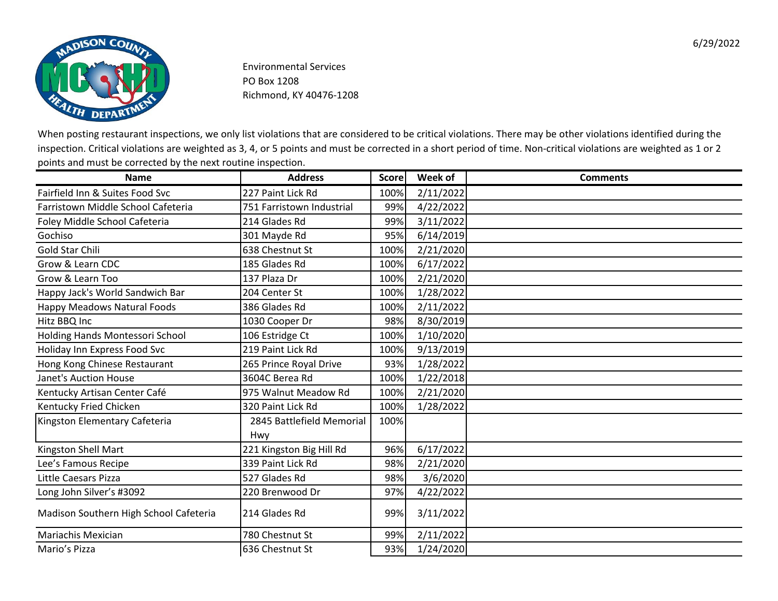

| <b>Name</b>                            | <b>Address</b>                   | <b>Score</b> | Week of   | <b>Comments</b> |
|----------------------------------------|----------------------------------|--------------|-----------|-----------------|
| Fairfield Inn & Suites Food Svc        | 227 Paint Lick Rd                | 100%         | 2/11/2022 |                 |
| Farristown Middle School Cafeteria     | 751 Farristown Industrial        | 99%          | 4/22/2022 |                 |
| Foley Middle School Cafeteria          | 214 Glades Rd                    | 99%          | 3/11/2022 |                 |
| Gochiso                                | 301 Mayde Rd                     | 95%          | 6/14/2019 |                 |
| <b>Gold Star Chili</b>                 | 638 Chestnut St                  | 100%         | 2/21/2020 |                 |
| Grow & Learn CDC                       | 185 Glades Rd                    | 100%         | 6/17/2022 |                 |
| Grow & Learn Too                       | 137 Plaza Dr                     | 100%         | 2/21/2020 |                 |
| Happy Jack's World Sandwich Bar        | 204 Center St                    | 100%         | 1/28/2022 |                 |
| Happy Meadows Natural Foods            | 386 Glades Rd                    | 100%         | 2/11/2022 |                 |
| Hitz BBQ Inc                           | 1030 Cooper Dr                   | 98%          | 8/30/2019 |                 |
| Holding Hands Montessori School        | 106 Estridge Ct                  | 100%         | 1/10/2020 |                 |
| Holiday Inn Express Food Svc           | 219 Paint Lick Rd                | 100%         | 9/13/2019 |                 |
| Hong Kong Chinese Restaurant           | 265 Prince Royal Drive           | 93%          | 1/28/2022 |                 |
| <b>Janet's Auction House</b>           | 3604C Berea Rd                   | 100%         | 1/22/2018 |                 |
| Kentucky Artisan Center Café           | 975 Walnut Meadow Rd             | 100%         | 2/21/2020 |                 |
| Kentucky Fried Chicken                 | 320 Paint Lick Rd                | 100%         | 1/28/2022 |                 |
| Kingston Elementary Cafeteria          | 2845 Battlefield Memorial<br>Hwy | 100%         |           |                 |
| Kingston Shell Mart                    | 221 Kingston Big Hill Rd         | 96%          | 6/17/2022 |                 |
| Lee's Famous Recipe                    | 339 Paint Lick Rd                | 98%          | 2/21/2020 |                 |
| Little Caesars Pizza                   | 527 Glades Rd                    | 98%          | 3/6/2020  |                 |
| Long John Silver's #3092               | 220 Brenwood Dr                  | 97%          | 4/22/2022 |                 |
| Madison Southern High School Cafeteria | 214 Glades Rd                    | 99%          | 3/11/2022 |                 |
| Mariachis Mexician                     | 780 Chestnut St                  | 99%          | 2/11/2022 |                 |
| Mario's Pizza                          | 636 Chestnut St                  | 93%          | 1/24/2020 |                 |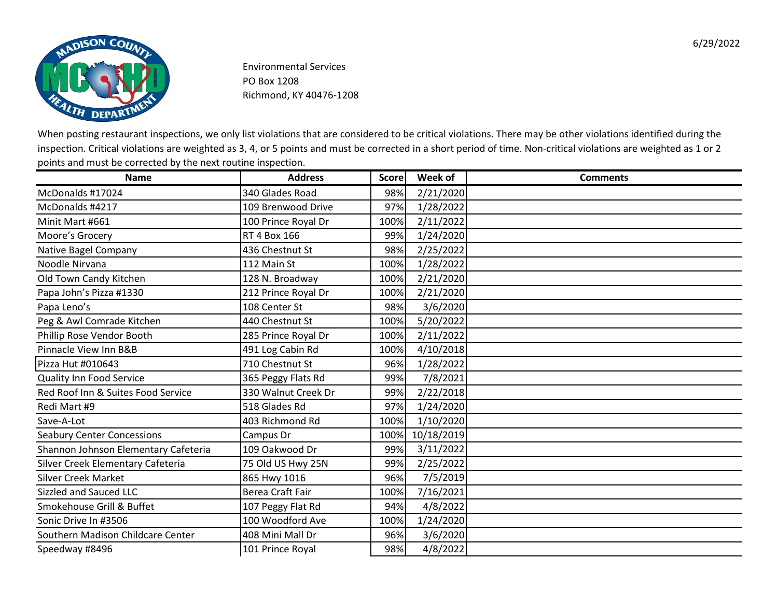

| <b>Name</b>                          | <b>Address</b>          | <b>Score</b> | Week of    | <b>Comments</b> |
|--------------------------------------|-------------------------|--------------|------------|-----------------|
| McDonalds #17024                     | 340 Glades Road         | 98%          | 2/21/2020  |                 |
| McDonalds #4217                      | 109 Brenwood Drive      | 97%          | 1/28/2022  |                 |
| Minit Mart #661                      | 100 Prince Royal Dr     | 100%         | 2/11/2022  |                 |
| Moore's Grocery                      | <b>RT 4 Box 166</b>     | 99%          | 1/24/2020  |                 |
| Native Bagel Company                 | 436 Chestnut St         | 98%          | 2/25/2022  |                 |
| Noodle Nirvana                       | 112 Main St             | 100%         | 1/28/2022  |                 |
| Old Town Candy Kitchen               | 128 N. Broadway         | 100%         | 2/21/2020  |                 |
| Papa John's Pizza #1330              | 212 Prince Royal Dr     | 100%         | 2/21/2020  |                 |
| Papa Leno's                          | 108 Center St           | 98%          | 3/6/2020   |                 |
| Peg & Awl Comrade Kitchen            | 440 Chestnut St         | 100%         | 5/20/2022  |                 |
| Phillip Rose Vendor Booth            | 285 Prince Royal Dr     | 100%         | 2/11/2022  |                 |
| Pinnacle View Inn B&B                | 491 Log Cabin Rd        | 100%         | 4/10/2018  |                 |
| Pizza Hut #010643                    | 710 Chestnut St         | 96%          | 1/28/2022  |                 |
| <b>Quality Inn Food Service</b>      | 365 Peggy Flats Rd      | 99%          | 7/8/2021   |                 |
| Red Roof Inn & Suites Food Service   | 330 Walnut Creek Dr     | 99%          | 2/22/2018  |                 |
| Redi Mart #9                         | 518 Glades Rd           | 97%          | 1/24/2020  |                 |
| Save-A-Lot                           | 403 Richmond Rd         | 100%         | 1/10/2020  |                 |
| <b>Seabury Center Concessions</b>    | Campus Dr               | 100%         | 10/18/2019 |                 |
| Shannon Johnson Elementary Cafeteria | 109 Oakwood Dr          | 99%          | 3/11/2022  |                 |
| Silver Creek Elementary Cafeteria    | 75 Old US Hwy 25N       | 99%          | 2/25/2022  |                 |
| <b>Silver Creek Market</b>           | 865 Hwy 1016            | 96%          | 7/5/2019   |                 |
| Sizzled and Sauced LLC               | <b>Berea Craft Fair</b> | 100%         | 7/16/2021  |                 |
| Smokehouse Grill & Buffet            | 107 Peggy Flat Rd       | 94%          | 4/8/2022   |                 |
| Sonic Drive In #3506                 | 100 Woodford Ave        | 100%         | 1/24/2020  |                 |
| Southern Madison Childcare Center    | 408 Mini Mall Dr        | 96%          | 3/6/2020   |                 |
| Speedway #8496                       | 101 Prince Royal        | 98%          | 4/8/2022   |                 |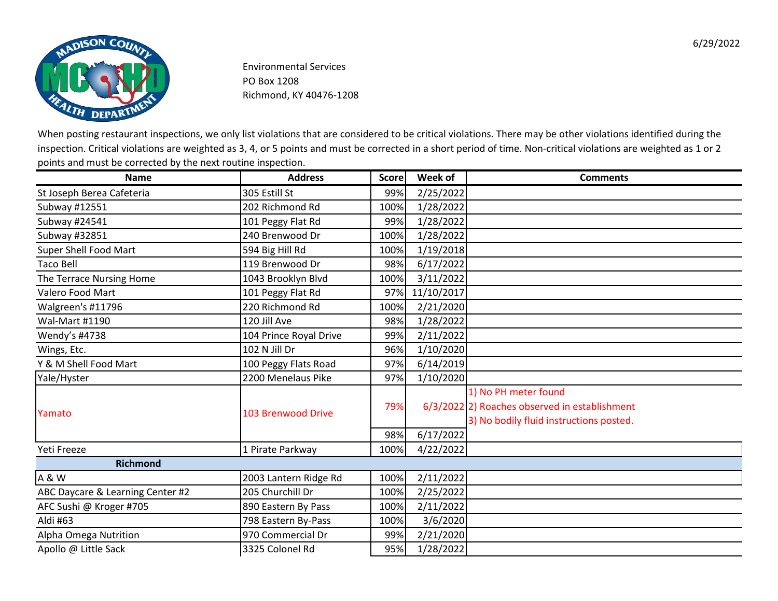

| <b>Name</b>                      | <b>Address</b>         | <b>Score</b> | Week of    | <b>Comments</b>                                                                                                  |
|----------------------------------|------------------------|--------------|------------|------------------------------------------------------------------------------------------------------------------|
| St Joseph Berea Cafeteria        | 305 Estill St          | 99%          | 2/25/2022  |                                                                                                                  |
| Subway #12551                    | 202 Richmond Rd        | 100%         | 1/28/2022  |                                                                                                                  |
| Subway #24541                    | 101 Peggy Flat Rd      | 99%          | 1/28/2022  |                                                                                                                  |
| Subway #32851                    | 240 Brenwood Dr        | 100%         | 1/28/2022  |                                                                                                                  |
| Super Shell Food Mart            | 594 Big Hill Rd        | 100%         | 1/19/2018  |                                                                                                                  |
| <b>Taco Bell</b>                 | 119 Brenwood Dr        | 98%          | 6/17/2022  |                                                                                                                  |
| The Terrace Nursing Home         | 1043 Brooklyn Blvd     | 100%         | 3/11/2022  |                                                                                                                  |
| Valero Food Mart                 | 101 Peggy Flat Rd      | 97%          | 11/10/2017 |                                                                                                                  |
| Walgreen's #11796                | 220 Richmond Rd        | 100%         | 2/21/2020  |                                                                                                                  |
| Wal-Mart #1190                   | 120 Jill Ave           | 98%          | 1/28/2022  |                                                                                                                  |
| Wendy's #4738                    | 104 Prince Royal Drive | 99%          | 2/11/2022  |                                                                                                                  |
| Wings, Etc.                      | 102 N Jill Dr          | 96%          | 1/10/2020  |                                                                                                                  |
| Y & M Shell Food Mart            | 100 Peggy Flats Road   | 97%          | 6/14/2019  |                                                                                                                  |
| Yale/Hyster                      | 2200 Menelaus Pike     | 97%          | 1/10/2020  |                                                                                                                  |
| Yamato                           | 103 Brenwood Drive     | 79%          |            | 1) No PH meter found<br>6/3/2022 2) Roaches observed in establishment<br>3) No bodily fluid instructions posted. |
|                                  |                        | 98%          | 6/17/2022  |                                                                                                                  |
| Yeti Freeze                      | 1 Pirate Parkway       | 100%         | 4/22/2022  |                                                                                                                  |
| <b>Richmond</b>                  |                        |              |            |                                                                                                                  |
| A & W                            | 2003 Lantern Ridge Rd  | 100%         | 2/11/2022  |                                                                                                                  |
| ABC Daycare & Learning Center #2 | 205 Churchill Dr       | 100%         | 2/25/2022  |                                                                                                                  |
| AFC Sushi @ Kroger #705          | 890 Eastern By Pass    | 100%         | 2/11/2022  |                                                                                                                  |
| Aldi #63                         | 798 Eastern By-Pass    | 100%         | 3/6/2020   |                                                                                                                  |
| Alpha Omega Nutrition            | 970 Commercial Dr      | 99%          | 2/21/2020  |                                                                                                                  |
| Apollo @ Little Sack             | 3325 Colonel Rd        | 95%          | 1/28/2022  |                                                                                                                  |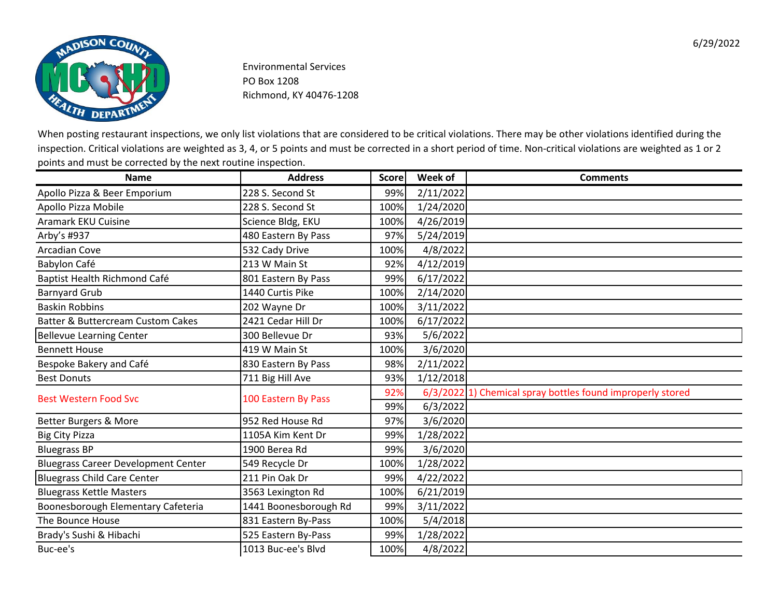

| <b>Name</b>                                  | <b>Address</b>        | <b>Score</b> | Week of   | <b>Comments</b>                                            |
|----------------------------------------------|-----------------------|--------------|-----------|------------------------------------------------------------|
| Apollo Pizza & Beer Emporium                 | 228 S. Second St      | 99%          | 2/11/2022 |                                                            |
| Apollo Pizza Mobile                          | 228 S. Second St      | 100%         | 1/24/2020 |                                                            |
| <b>Aramark EKU Cuisine</b>                   | Science Bldg, EKU     | 100%         | 4/26/2019 |                                                            |
| Arby's #937                                  | 480 Eastern By Pass   | 97%          | 5/24/2019 |                                                            |
| <b>Arcadian Cove</b>                         | 532 Cady Drive        | 100%         | 4/8/2022  |                                                            |
| Babylon Café                                 | 213 W Main St         | 92%          | 4/12/2019 |                                                            |
| Baptist Health Richmond Café                 | 801 Eastern By Pass   | 99%          | 6/17/2022 |                                                            |
| <b>Barnyard Grub</b>                         | 1440 Curtis Pike      | 100%         | 2/14/2020 |                                                            |
| <b>Baskin Robbins</b>                        | 202 Wayne Dr          | 100%         | 3/11/2022 |                                                            |
| <b>Batter &amp; Buttercream Custom Cakes</b> | 2421 Cedar Hill Dr    | 100%         | 6/17/2022 |                                                            |
| <b>Bellevue Learning Center</b>              | 300 Bellevue Dr       | 93%          | 5/6/2022  |                                                            |
| <b>Bennett House</b>                         | 419 W Main St         | 100%         | 3/6/2020  |                                                            |
| Bespoke Bakery and Café                      | 830 Eastern By Pass   | 98%          | 2/11/2022 |                                                            |
| <b>Best Donuts</b>                           | 711 Big Hill Ave      | 93%          | 1/12/2018 |                                                            |
| <b>Best Western Food Svc</b>                 | 100 Eastern By Pass   | 92%          |           | 6/3/2022 1) Chemical spray bottles found improperly stored |
|                                              |                       | 99%          | 6/3/2022  |                                                            |
| Better Burgers & More                        | 952 Red House Rd      | 97%          | 3/6/2020  |                                                            |
| <b>Big City Pizza</b>                        | 1105A Kim Kent Dr     | 99%          | 1/28/2022 |                                                            |
| <b>Bluegrass BP</b>                          | 1900 Berea Rd         | 99%          | 3/6/2020  |                                                            |
| <b>Bluegrass Career Development Center</b>   | 549 Recycle Dr        | 100%         | 1/28/2022 |                                                            |
| <b>Bluegrass Child Care Center</b>           | 211 Pin Oak Dr        | 99%          | 4/22/2022 |                                                            |
| <b>Bluegrass Kettle Masters</b>              | 3563 Lexington Rd     | 100%         | 6/21/2019 |                                                            |
| Boonesborough Elementary Cafeteria           | 1441 Boonesborough Rd | 99%          | 3/11/2022 |                                                            |
| The Bounce House                             | 831 Eastern By-Pass   | 100%         | 5/4/2018  |                                                            |
| Brady's Sushi & Hibachi                      | 525 Eastern By-Pass   | 99%          | 1/28/2022 |                                                            |
| Buc-ee's                                     | 1013 Buc-ee's Blvd    | 100%         | 4/8/2022  |                                                            |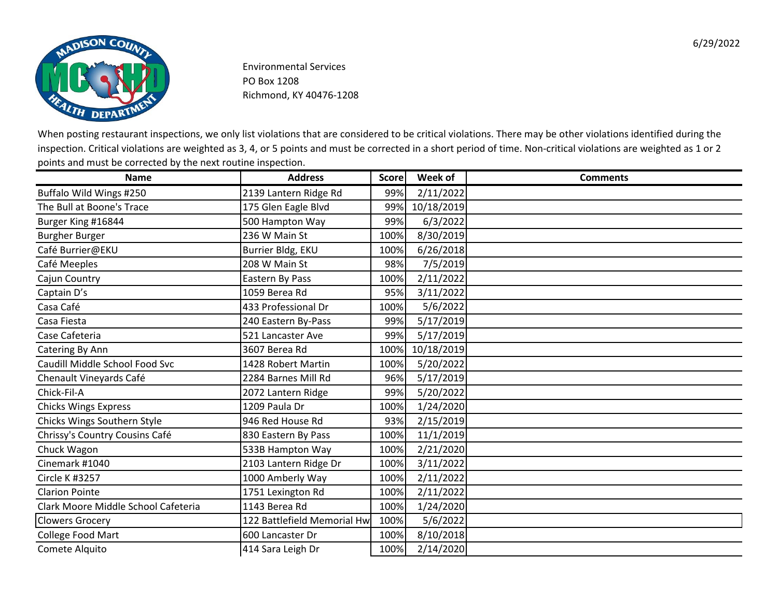

| <b>Name</b>                         | <b>Address</b>              | <b>Score</b> | Week of    | <b>Comments</b> |
|-------------------------------------|-----------------------------|--------------|------------|-----------------|
| Buffalo Wild Wings #250             | 2139 Lantern Ridge Rd       | 99%          | 2/11/2022  |                 |
| The Bull at Boone's Trace           | 175 Glen Eagle Blvd         | 99%          | 10/18/2019 |                 |
| Burger King #16844                  | 500 Hampton Way             | 99%          | 6/3/2022   |                 |
| <b>Burgher Burger</b>               | 236 W Main St               | 100%         | 8/30/2019  |                 |
| Café Burrier@EKU                    | Burrier Bldg, EKU           | 100%         | 6/26/2018  |                 |
| Café Meeples                        | 208 W Main St               | 98%          | 7/5/2019   |                 |
| Cajun Country                       | Eastern By Pass             | 100%         | 2/11/2022  |                 |
| Captain D's                         | 1059 Berea Rd               | 95%          | 3/11/2022  |                 |
| Casa Café                           | 433 Professional Dr         | 100%         | 5/6/2022   |                 |
| Casa Fiesta                         | 240 Eastern By-Pass         | 99%          | 5/17/2019  |                 |
| Case Cafeteria                      | 521 Lancaster Ave           | 99%          | 5/17/2019  |                 |
| Catering By Ann                     | 3607 Berea Rd               | 100%         | 10/18/2019 |                 |
| Caudill Middle School Food Svc      | 1428 Robert Martin          | 100%         | 5/20/2022  |                 |
| Chenault Vineyards Café             | 2284 Barnes Mill Rd         | 96%          | 5/17/2019  |                 |
| Chick-Fil-A                         | 2072 Lantern Ridge          | 99%          | 5/20/2022  |                 |
| <b>Chicks Wings Express</b>         | 1209 Paula Dr               | 100%         | 1/24/2020  |                 |
| Chicks Wings Southern Style         | 946 Red House Rd            | 93%          | 2/15/2019  |                 |
| Chrissy's Country Cousins Café      | 830 Eastern By Pass         | 100%         | 11/1/2019  |                 |
| Chuck Wagon                         | 533B Hampton Way            | 100%         | 2/21/2020  |                 |
| Cinemark #1040                      | 2103 Lantern Ridge Dr       | 100%         | 3/11/2022  |                 |
| Circle K #3257                      | 1000 Amberly Way            | 100%         | 2/11/2022  |                 |
| <b>Clarion Pointe</b>               | 1751 Lexington Rd           | 100%         | 2/11/2022  |                 |
| Clark Moore Middle School Cafeteria | 1143 Berea Rd               | 100%         | 1/24/2020  |                 |
| <b>Clowers Grocery</b>              | 122 Battlefield Memorial Hw | 100%         | 5/6/2022   |                 |
| College Food Mart                   | 600 Lancaster Dr            | 100%         | 8/10/2018  |                 |
| Comete Alquito                      | 414 Sara Leigh Dr           | 100%         | 2/14/2020  |                 |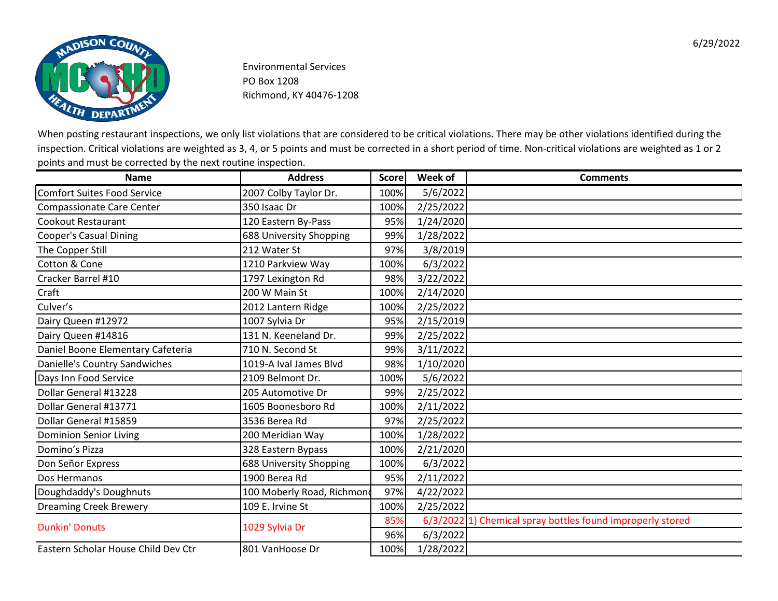![](_page_7_Picture_0.jpeg)

| <b>Name</b>                          | <b>Address</b>             | <b>Score</b> | Week of   | <b>Comments</b>                                            |
|--------------------------------------|----------------------------|--------------|-----------|------------------------------------------------------------|
| Comfort Suites Food Service          | 2007 Colby Taylor Dr.      | 100%         | 5/6/2022  |                                                            |
| <b>Compassionate Care Center</b>     | 350 Isaac Dr               | 100%         | 2/25/2022 |                                                            |
| Cookout Restaurant                   | 120 Eastern By-Pass        | 95%          | 1/24/2020 |                                                            |
| <b>Cooper's Casual Dining</b>        | 688 University Shopping    | 99%          | 1/28/2022 |                                                            |
| The Copper Still                     | 212 Water St               | 97%          | 3/8/2019  |                                                            |
| Cotton & Cone                        | 1210 Parkview Way          | 100%         | 6/3/2022  |                                                            |
| Cracker Barrel #10                   | 1797 Lexington Rd          | 98%          | 3/22/2022 |                                                            |
| Craft                                | 200 W Main St              | 100%         | 2/14/2020 |                                                            |
| Culver's                             | 2012 Lantern Ridge         | 100%         | 2/25/2022 |                                                            |
| Dairy Queen #12972                   | 1007 Sylvia Dr             | 95%          | 2/15/2019 |                                                            |
| Dairy Queen #14816                   | 131 N. Keeneland Dr.       | 99%          | 2/25/2022 |                                                            |
| Daniel Boone Elementary Cafeteria    | 710 N. Second St           | 99%          | 3/11/2022 |                                                            |
| <b>Danielle's Country Sandwiches</b> | 1019-A Ival James Blvd     | 98%          | 1/10/2020 |                                                            |
| Days Inn Food Service                | 2109 Belmont Dr.           | 100%         | 5/6/2022  |                                                            |
| Dollar General #13228                | 205 Automotive Dr          | 99%          | 2/25/2022 |                                                            |
| Dollar General #13771                | 1605 Boonesboro Rd         | 100%         | 2/11/2022 |                                                            |
| Dollar General #15859                | 3536 Berea Rd              | 97%          | 2/25/2022 |                                                            |
| <b>Dominion Senior Living</b>        | 200 Meridian Way           | 100%         | 1/28/2022 |                                                            |
| Domino's Pizza                       | 328 Eastern Bypass         | 100%         | 2/21/2020 |                                                            |
| Don Señor Express                    | 688 University Shopping    | 100%         | 6/3/2022  |                                                            |
| Dos Hermanos                         | 1900 Berea Rd              | 95%          | 2/11/2022 |                                                            |
| Doughdaddy's Doughnuts               | 100 Moberly Road, Richmond | 97%          | 4/22/2022 |                                                            |
| <b>Dreaming Creek Brewery</b>        | 109 E. Irvine St           | 100%         | 2/25/2022 |                                                            |
| <b>Dunkin' Donuts</b>                | 1029 Sylvia Dr             | 85%          |           | 6/3/2022 1) Chemical spray bottles found improperly stored |
|                                      |                            | 96%          | 6/3/2022  |                                                            |
| Eastern Scholar House Child Dev Ctr  | 801 VanHoose Dr            | 100%         | 1/28/2022 |                                                            |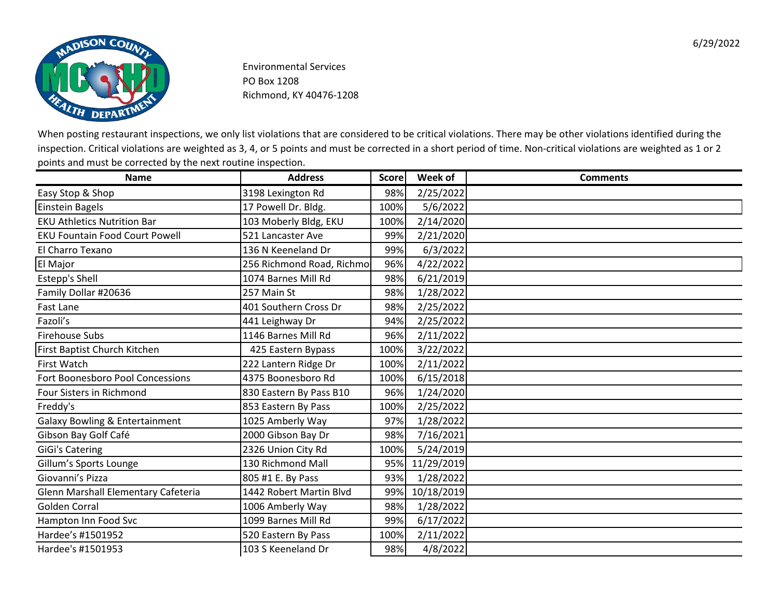![](_page_8_Picture_0.jpeg)

| <b>Name</b>                               | <b>Address</b>            | <b>Score</b> | Week of    | <b>Comments</b> |
|-------------------------------------------|---------------------------|--------------|------------|-----------------|
| Easy Stop & Shop                          | 3198 Lexington Rd         | 98%          | 2/25/2022  |                 |
| <b>Einstein Bagels</b>                    | 17 Powell Dr. Bldg.       | 100%         | 5/6/2022   |                 |
| <b>EKU Athletics Nutrition Bar</b>        | 103 Moberly Bldg, EKU     | 100%         | 2/14/2020  |                 |
| <b>EKU Fountain Food Court Powell</b>     | 521 Lancaster Ave         | 99%          | 2/21/2020  |                 |
| El Charro Texano                          | 136 N Keeneland Dr        | 99%          | 6/3/2022   |                 |
| El Major                                  | 256 Richmond Road, Richmo | 96%          | 4/22/2022  |                 |
| <b>Estepp's Shell</b>                     | 1074 Barnes Mill Rd       | 98%          | 6/21/2019  |                 |
| Family Dollar #20636                      | 257 Main St               | 98%          | 1/28/2022  |                 |
| Fast Lane                                 | 401 Southern Cross Dr     | 98%          | 2/25/2022  |                 |
| Fazoli's                                  | 441 Leighway Dr           | 94%          | 2/25/2022  |                 |
| <b>Firehouse Subs</b>                     | 1146 Barnes Mill Rd       | 96%          | 2/11/2022  |                 |
| First Baptist Church Kitchen              | 425 Eastern Bypass        | 100%         | 3/22/2022  |                 |
| First Watch                               | 222 Lantern Ridge Dr      | 100%         | 2/11/2022  |                 |
| Fort Boonesboro Pool Concessions          | 4375 Boonesboro Rd        | 100%         | 6/15/2018  |                 |
| Four Sisters in Richmond                  | 830 Eastern By Pass B10   | 96%          | 1/24/2020  |                 |
| Freddy's                                  | 853 Eastern By Pass       | 100%         | 2/25/2022  |                 |
| <b>Galaxy Bowling &amp; Entertainment</b> | 1025 Amberly Way          | 97%          | 1/28/2022  |                 |
| Gibson Bay Golf Café                      | 2000 Gibson Bay Dr        | 98%          | 7/16/2021  |                 |
| <b>GiGi's Catering</b>                    | 2326 Union City Rd        | 100%         | 5/24/2019  |                 |
| Gillum's Sports Lounge                    | 130 Richmond Mall         | 95%          | 11/29/2019 |                 |
| Giovanni's Pizza                          | 805 #1 E. By Pass         | 93%          | 1/28/2022  |                 |
| Glenn Marshall Elementary Cafeteria       | 1442 Robert Martin Blvd   | 99%          | 10/18/2019 |                 |
| <b>Golden Corral</b>                      | 1006 Amberly Way          | 98%          | 1/28/2022  |                 |
| Hampton Inn Food Svc                      | 1099 Barnes Mill Rd       | 99%          | 6/17/2022  |                 |
| Hardee's #1501952                         | 520 Eastern By Pass       | 100%         | 2/11/2022  |                 |
| Hardee's #1501953                         | 103 S Keeneland Dr        | 98%          | 4/8/2022   |                 |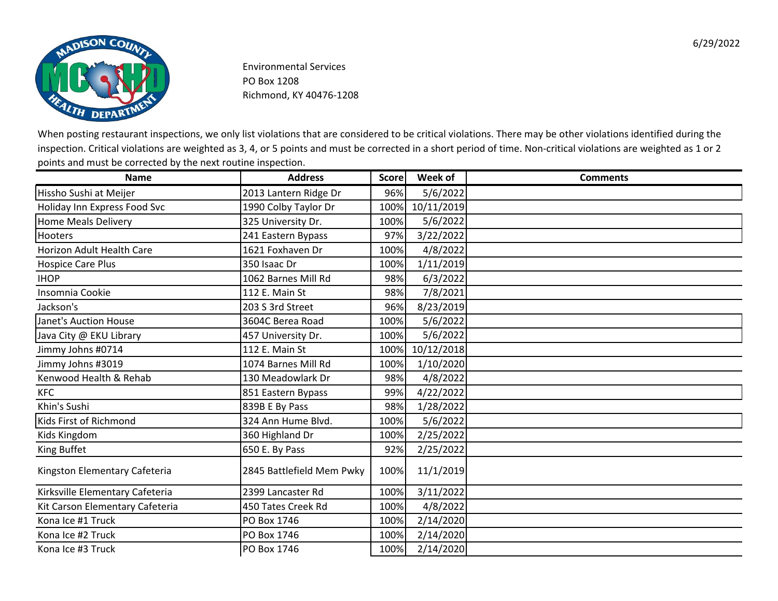![](_page_9_Picture_0.jpeg)

| <b>Name</b>                     | <b>Address</b>            | <b>Score</b> | Week of    | <b>Comments</b> |
|---------------------------------|---------------------------|--------------|------------|-----------------|
| Hissho Sushi at Meijer          | 2013 Lantern Ridge Dr     | 96%          | 5/6/2022   |                 |
| Holiday Inn Express Food Svc    | 1990 Colby Taylor Dr      | 100%         | 10/11/2019 |                 |
| <b>Home Meals Delivery</b>      | 325 University Dr.        | 100%         | 5/6/2022   |                 |
| <b>Hooters</b>                  | 241 Eastern Bypass        | 97%          | 3/22/2022  |                 |
| Horizon Adult Health Care       | 1621 Foxhaven Dr          | 100%         | 4/8/2022   |                 |
| Hospice Care Plus               | 350 Isaac Dr              | 100%         | 1/11/2019  |                 |
| <b>IHOP</b>                     | 1062 Barnes Mill Rd       | 98%          | 6/3/2022   |                 |
| Insomnia Cookie                 | 112 E. Main St            | 98%          | 7/8/2021   |                 |
| Jackson's                       | 203 S 3rd Street          | 96%          | 8/23/2019  |                 |
| <b>Janet's Auction House</b>    | 3604C Berea Road          | 100%         | 5/6/2022   |                 |
| Java City @ EKU Library         | 457 University Dr.        | 100%         | 5/6/2022   |                 |
| Jimmy Johns #0714               | 112 E. Main St            | 100%         | 10/12/2018 |                 |
| Jimmy Johns #3019               | 1074 Barnes Mill Rd       | 100%         | 1/10/2020  |                 |
| Kenwood Health & Rehab          | 130 Meadowlark Dr         | 98%          | 4/8/2022   |                 |
| <b>KFC</b>                      | 851 Eastern Bypass        | 99%          | 4/22/2022  |                 |
| Khin's Sushi                    | 839B E By Pass            | 98%          | 1/28/2022  |                 |
| Kids First of Richmond          | 324 Ann Hume Blvd.        | 100%         | 5/6/2022   |                 |
| Kids Kingdom                    | 360 Highland Dr           | 100%         | 2/25/2022  |                 |
| King Buffet                     | 650 E. By Pass            | 92%          | 2/25/2022  |                 |
| Kingston Elementary Cafeteria   | 2845 Battlefield Mem Pwky | 100%         | 11/1/2019  |                 |
| Kirksville Elementary Cafeteria | 2399 Lancaster Rd         | 100%         | 3/11/2022  |                 |
| Kit Carson Elementary Cafeteria | 450 Tates Creek Rd        | 100%         | 4/8/2022   |                 |
| Kona Ice #1 Truck               | PO Box 1746               | 100%         | 2/14/2020  |                 |
| Kona Ice #2 Truck               | PO Box 1746               | 100%         | 2/14/2020  |                 |
| Kona Ice #3 Truck               | PO Box 1746               | 100%         | 2/14/2020  |                 |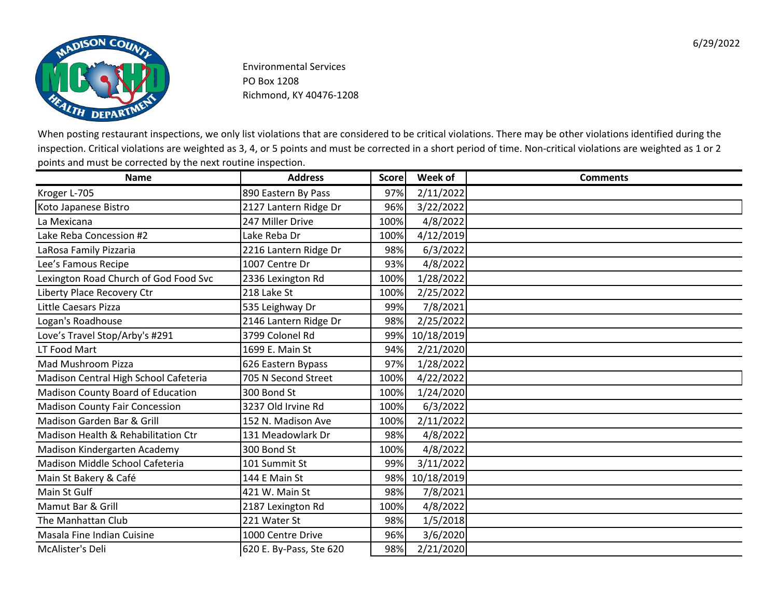![](_page_10_Picture_0.jpeg)

| <b>Name</b>                           | <b>Address</b>          | <b>Score</b> | Week of    | <b>Comments</b> |
|---------------------------------------|-------------------------|--------------|------------|-----------------|
| Kroger L-705                          | 890 Eastern By Pass     | 97%          | 2/11/2022  |                 |
| Koto Japanese Bistro                  | 2127 Lantern Ridge Dr   | 96%          | 3/22/2022  |                 |
| La Mexicana                           | 247 Miller Drive        | 100%         | 4/8/2022   |                 |
| Lake Reba Concession #2               | Lake Reba Dr            | 100%         | 4/12/2019  |                 |
| LaRosa Family Pizzaria                | 2216 Lantern Ridge Dr   | 98%          | 6/3/2022   |                 |
| Lee's Famous Recipe                   | 1007 Centre Dr          | 93%          | 4/8/2022   |                 |
| Lexington Road Church of God Food Svc | 2336 Lexington Rd       | 100%         | 1/28/2022  |                 |
| Liberty Place Recovery Ctr            | 218 Lake St             | 100%         | 2/25/2022  |                 |
| Little Caesars Pizza                  | 535 Leighway Dr         | 99%          | 7/8/2021   |                 |
| Logan's Roadhouse                     | 2146 Lantern Ridge Dr   | 98%          | 2/25/2022  |                 |
| Love's Travel Stop/Arby's #291        | 3799 Colonel Rd         | 99%          | 10/18/2019 |                 |
| LT Food Mart                          | 1699 E. Main St         | 94%          | 2/21/2020  |                 |
| Mad Mushroom Pizza                    | 626 Eastern Bypass      | 97%          | 1/28/2022  |                 |
| Madison Central High School Cafeteria | 705 N Second Street     | 100%         | 4/22/2022  |                 |
| Madison County Board of Education     | 300 Bond St             | 100%         | 1/24/2020  |                 |
| <b>Madison County Fair Concession</b> | 3237 Old Irvine Rd      | 100%         | 6/3/2022   |                 |
| Madison Garden Bar & Grill            | 152 N. Madison Ave      | 100%         | 2/11/2022  |                 |
| Madison Health & Rehabilitation Ctr   | 131 Meadowlark Dr       | 98%          | 4/8/2022   |                 |
| Madison Kindergarten Academy          | 300 Bond St             | 100%         | 4/8/2022   |                 |
| Madison Middle School Cafeteria       | 101 Summit St           | 99%          | 3/11/2022  |                 |
| Main St Bakery & Café                 | 144 E Main St           | 98%          | 10/18/2019 |                 |
| Main St Gulf                          | 421 W. Main St          | 98%          | 7/8/2021   |                 |
| Mamut Bar & Grill                     | 2187 Lexington Rd       | 100%         | 4/8/2022   |                 |
| The Manhattan Club                    | 221 Water St            | 98%          | 1/5/2018   |                 |
| Masala Fine Indian Cuisine            | 1000 Centre Drive       | 96%          | 3/6/2020   |                 |
| McAlister's Deli                      | 620 E. By-Pass, Ste 620 | 98%          | 2/21/2020  |                 |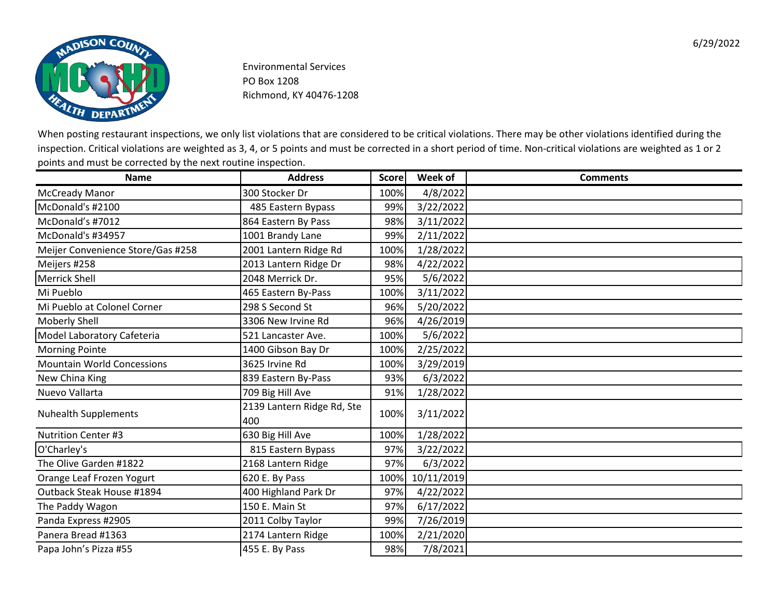![](_page_11_Picture_0.jpeg)

| <b>Name</b>                       | <b>Address</b>                    | <b>Score</b> | Week of    | <b>Comments</b> |
|-----------------------------------|-----------------------------------|--------------|------------|-----------------|
| <b>McCready Manor</b>             | 300 Stocker Dr                    | 100%         | 4/8/2022   |                 |
| McDonald's #2100                  | 485 Eastern Bypass                | 99%          | 3/22/2022  |                 |
| McDonald's #7012                  | 864 Eastern By Pass               | 98%          | 3/11/2022  |                 |
| McDonald's #34957                 | 1001 Brandy Lane                  | 99%          | 2/11/2022  |                 |
| Meijer Convenience Store/Gas #258 | 2001 Lantern Ridge Rd             | 100%         | 1/28/2022  |                 |
| Meijers #258                      | 2013 Lantern Ridge Dr             | 98%          | 4/22/2022  |                 |
| Merrick Shell                     | 2048 Merrick Dr.                  | 95%          | 5/6/2022   |                 |
| Mi Pueblo                         | 465 Eastern By-Pass               | 100%         | 3/11/2022  |                 |
| Mi Pueblo at Colonel Corner       | 298 S Second St                   | 96%          | 5/20/2022  |                 |
| Moberly Shell                     | 3306 New Irvine Rd                | 96%          | 4/26/2019  |                 |
| Model Laboratory Cafeteria        | 521 Lancaster Ave.                | 100%         | 5/6/2022   |                 |
| <b>Morning Pointe</b>             | 1400 Gibson Bay Dr                | 100%         | 2/25/2022  |                 |
| <b>Mountain World Concessions</b> | 3625 Irvine Rd                    | 100%         | 3/29/2019  |                 |
| New China King                    | 839 Eastern By-Pass               | 93%          | 6/3/2022   |                 |
| Nuevo Vallarta                    | 709 Big Hill Ave                  | 91%          | 1/28/2022  |                 |
| <b>Nuhealth Supplements</b>       | 2139 Lantern Ridge Rd, Ste<br>400 | 100%         | 3/11/2022  |                 |
| <b>Nutrition Center #3</b>        | 630 Big Hill Ave                  | 100%         | 1/28/2022  |                 |
| O'Charley's                       | 815 Eastern Bypass                | 97%          | 3/22/2022  |                 |
| The Olive Garden #1822            | 2168 Lantern Ridge                | 97%          | 6/3/2022   |                 |
| Orange Leaf Frozen Yogurt         | 620 E. By Pass                    | 100%         | 10/11/2019 |                 |
| Outback Steak House #1894         | 400 Highland Park Dr              | 97%          | 4/22/2022  |                 |
| The Paddy Wagon                   | 150 E. Main St                    | 97%          | 6/17/2022  |                 |
| Panda Express #2905               | 2011 Colby Taylor                 | 99%          | 7/26/2019  |                 |
| Panera Bread #1363                | 2174 Lantern Ridge                | 100%         | 2/21/2020  |                 |
| Papa John's Pizza #55             | 455 E. By Pass                    | 98%          | 7/8/2021   |                 |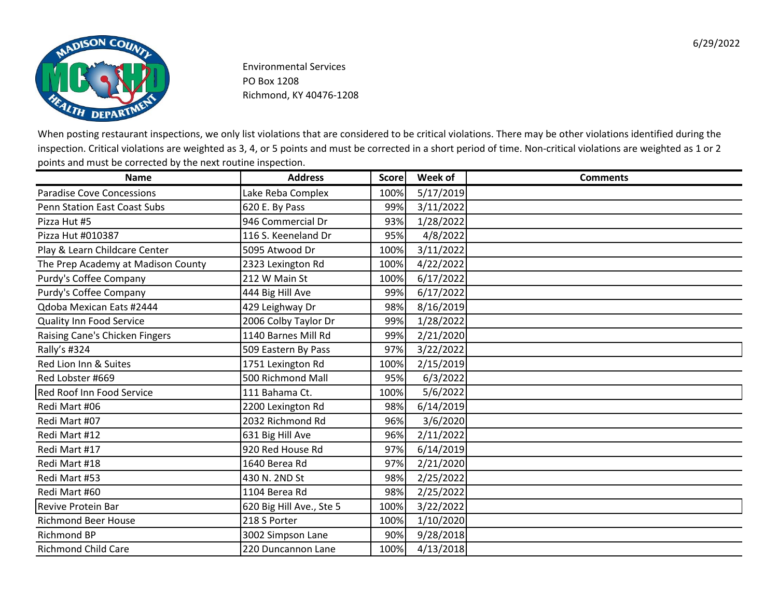![](_page_12_Picture_0.jpeg)

| <b>Name</b>                         | <b>Address</b>           | <b>Score</b> | Week of   | <b>Comments</b> |
|-------------------------------------|--------------------------|--------------|-----------|-----------------|
| <b>Paradise Cove Concessions</b>    | Lake Reba Complex        | 100%         | 5/17/2019 |                 |
| <b>Penn Station East Coast Subs</b> | 620 E. By Pass           | 99%          | 3/11/2022 |                 |
| Pizza Hut #5                        | 946 Commercial Dr        | 93%          | 1/28/2022 |                 |
| Pizza Hut #010387                   | 116 S. Keeneland Dr      | 95%          | 4/8/2022  |                 |
| Play & Learn Childcare Center       | 5095 Atwood Dr           | 100%         | 3/11/2022 |                 |
| The Prep Academy at Madison County  | 2323 Lexington Rd        | 100%         | 4/22/2022 |                 |
| Purdy's Coffee Company              | 212 W Main St            | 100%         | 6/17/2022 |                 |
| Purdy's Coffee Company              | 444 Big Hill Ave         | 99%          | 6/17/2022 |                 |
| Qdoba Mexican Eats #2444            | 429 Leighway Dr          | 98%          | 8/16/2019 |                 |
| <b>Quality Inn Food Service</b>     | 2006 Colby Taylor Dr     | 99%          | 1/28/2022 |                 |
| Raising Cane's Chicken Fingers      | 1140 Barnes Mill Rd      | 99%          | 2/21/2020 |                 |
| Rally's #324                        | 509 Eastern By Pass      | 97%          | 3/22/2022 |                 |
| Red Lion Inn & Suites               | 1751 Lexington Rd        | 100%         | 2/15/2019 |                 |
| Red Lobster #669                    | 500 Richmond Mall        | 95%          | 6/3/2022  |                 |
| Red Roof Inn Food Service           | 111 Bahama Ct.           | 100%         | 5/6/2022  |                 |
| Redi Mart #06                       | 2200 Lexington Rd        | 98%          | 6/14/2019 |                 |
| Redi Mart #07                       | 2032 Richmond Rd         | 96%          | 3/6/2020  |                 |
| Redi Mart #12                       | 631 Big Hill Ave         | 96%          | 2/11/2022 |                 |
| Redi Mart #17                       | 920 Red House Rd         | 97%          | 6/14/2019 |                 |
| Redi Mart #18                       | 1640 Berea Rd            | 97%          | 2/21/2020 |                 |
| Redi Mart #53                       | 430 N. 2ND St            | 98%          | 2/25/2022 |                 |
| Redi Mart #60                       | 1104 Berea Rd            | 98%          | 2/25/2022 |                 |
| <b>Revive Protein Bar</b>           | 620 Big Hill Ave., Ste 5 | 100%         | 3/22/2022 |                 |
| <b>Richmond Beer House</b>          | 218 S Porter             | 100%         | 1/10/2020 |                 |
| <b>Richmond BP</b>                  | 3002 Simpson Lane        | 90%          | 9/28/2018 |                 |
| <b>Richmond Child Care</b>          | 220 Duncannon Lane       | 100%         | 4/13/2018 |                 |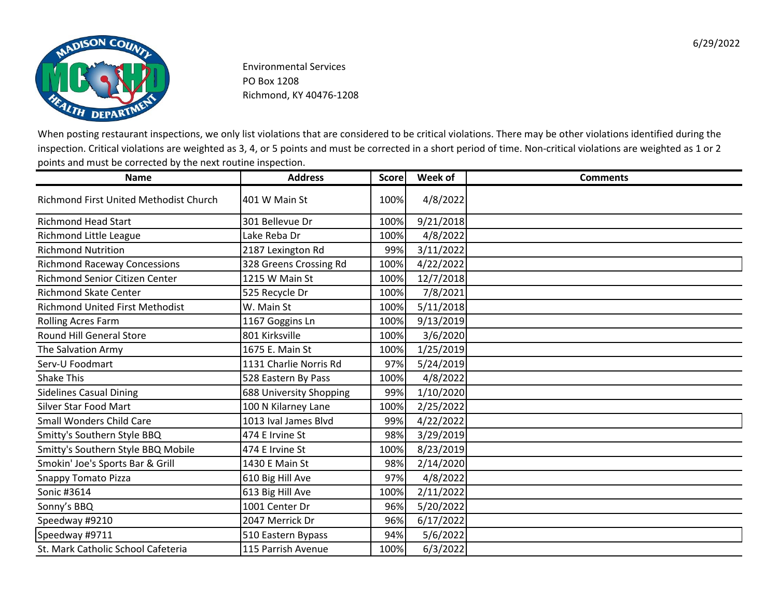![](_page_13_Picture_0.jpeg)

| <b>Name</b>                                   | <b>Address</b>          | <b>Score</b> | Week of   | <b>Comments</b> |
|-----------------------------------------------|-------------------------|--------------|-----------|-----------------|
| <b>Richmond First United Methodist Church</b> | 401 W Main St           | 100%         | 4/8/2022  |                 |
| <b>Richmond Head Start</b>                    | 301 Bellevue Dr         | 100%         | 9/21/2018 |                 |
| Richmond Little League                        | Lake Reba Dr            | 100%         | 4/8/2022  |                 |
| <b>Richmond Nutrition</b>                     | 2187 Lexington Rd       | 99%          | 3/11/2022 |                 |
| <b>Richmond Raceway Concessions</b>           | 328 Greens Crossing Rd  | 100%         | 4/22/2022 |                 |
| Richmond Senior Citizen Center                | 1215 W Main St          | 100%         | 12/7/2018 |                 |
| <b>Richmond Skate Center</b>                  | 525 Recycle Dr          | 100%         | 7/8/2021  |                 |
| <b>Richmond United First Methodist</b>        | W. Main St              | 100%         | 5/11/2018 |                 |
| <b>Rolling Acres Farm</b>                     | 1167 Goggins Ln         | 100%         | 9/13/2019 |                 |
| <b>Round Hill General Store</b>               | 801 Kirksville          | 100%         | 3/6/2020  |                 |
| The Salvation Army                            | 1675 E. Main St         | 100%         | 1/25/2019 |                 |
| Serv-U Foodmart                               | 1131 Charlie Norris Rd  | 97%          | 5/24/2019 |                 |
| <b>Shake This</b>                             | 528 Eastern By Pass     | 100%         | 4/8/2022  |                 |
| <b>Sidelines Casual Dining</b>                | 688 University Shopping | 99%          | 1/10/2020 |                 |
| <b>Silver Star Food Mart</b>                  | 100 N Kilarney Lane     | 100%         | 2/25/2022 |                 |
| <b>Small Wonders Child Care</b>               | 1013 Ival James Blvd    | 99%          | 4/22/2022 |                 |
| Smitty's Southern Style BBQ                   | 474 E Irvine St         | 98%          | 3/29/2019 |                 |
| Smitty's Southern Style BBQ Mobile            | 474 E Irvine St         | 100%         | 8/23/2019 |                 |
| Smokin' Joe's Sports Bar & Grill              | 1430 E Main St          | 98%          | 2/14/2020 |                 |
| <b>Snappy Tomato Pizza</b>                    | 610 Big Hill Ave        | 97%          | 4/8/2022  |                 |
| Sonic #3614                                   | 613 Big Hill Ave        | 100%         | 2/11/2022 |                 |
| Sonny's BBQ                                   | 1001 Center Dr          | 96%          | 5/20/2022 |                 |
| Speedway #9210                                | 2047 Merrick Dr         | 96%          | 6/17/2022 |                 |
| Speedway #9711                                | 510 Eastern Bypass      | 94%          | 5/6/2022  |                 |
| St. Mark Catholic School Cafeteria            | 115 Parrish Avenue      | 100%         | 6/3/2022  |                 |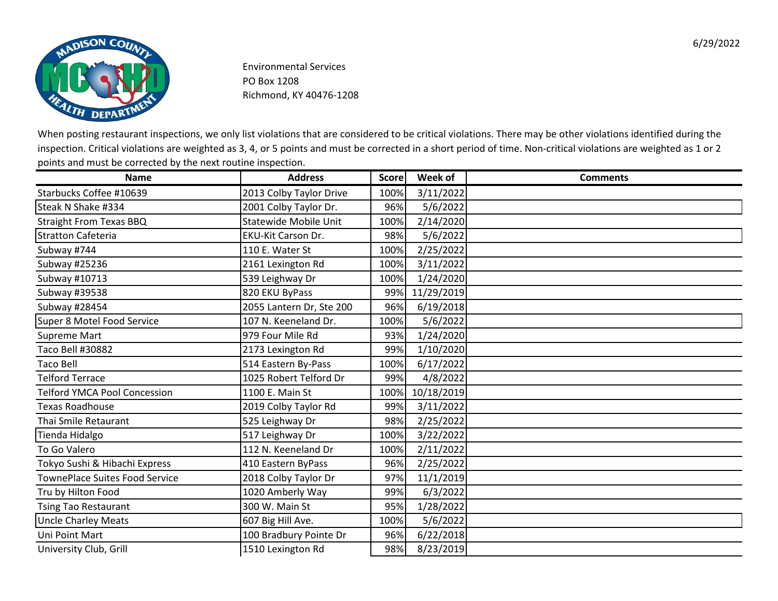![](_page_14_Picture_0.jpeg)

| <b>Name</b>                           | <b>Address</b>               | <b>Score</b> | Week of    | <b>Comments</b> |
|---------------------------------------|------------------------------|--------------|------------|-----------------|
| Starbucks Coffee #10639               | 2013 Colby Taylor Drive      | 100%         | 3/11/2022  |                 |
| Steak N Shake #334                    | 2001 Colby Taylor Dr.        | 96%          | 5/6/2022   |                 |
| <b>Straight From Texas BBQ</b>        | <b>Statewide Mobile Unit</b> | 100%         | 2/14/2020  |                 |
| <b>Stratton Cafeteria</b>             | <b>EKU-Kit Carson Dr.</b>    | 98%          | 5/6/2022   |                 |
| Subway #744                           | 110 E. Water St              | 100%         | 2/25/2022  |                 |
| Subway #25236                         | 2161 Lexington Rd            | 100%         | 3/11/2022  |                 |
| Subway #10713                         | 539 Leighway Dr              | 100%         | 1/24/2020  |                 |
| Subway #39538                         | 820 EKU ByPass               | 99%          | 11/29/2019 |                 |
| Subway #28454                         | 2055 Lantern Dr, Ste 200     | 96%          | 6/19/2018  |                 |
| Super 8 Motel Food Service            | 107 N. Keeneland Dr.         | 100%         | 5/6/2022   |                 |
| <b>Supreme Mart</b>                   | 979 Four Mile Rd             | 93%          | 1/24/2020  |                 |
| Taco Bell #30882                      | 2173 Lexington Rd            | 99%          | 1/10/2020  |                 |
| <b>Taco Bell</b>                      | 514 Eastern By-Pass          | 100%         | 6/17/2022  |                 |
| <b>Telford Terrace</b>                | 1025 Robert Telford Dr       | 99%          | 4/8/2022   |                 |
| <b>Telford YMCA Pool Concession</b>   | 1100 E. Main St              | 100%         | 10/18/2019 |                 |
| <b>Texas Roadhouse</b>                | 2019 Colby Taylor Rd         | 99%          | 3/11/2022  |                 |
| Thai Smile Retaurant                  | 525 Leighway Dr              | 98%          | 2/25/2022  |                 |
| Tienda Hidalgo                        | 517 Leighway Dr              | 100%         | 3/22/2022  |                 |
| To Go Valero                          | 112 N. Keeneland Dr          | 100%         | 2/11/2022  |                 |
| Tokyo Sushi & Hibachi Express         | 410 Eastern ByPass           | 96%          | 2/25/2022  |                 |
| <b>TownePlace Suites Food Service</b> | 2018 Colby Taylor Dr         | 97%          | 11/1/2019  |                 |
| Tru by Hilton Food                    | 1020 Amberly Way             | 99%          | 6/3/2022   |                 |
| <b>Tsing Tao Restaurant</b>           | 300 W. Main St               | 95%          | 1/28/2022  |                 |
| Uncle Charley Meats                   | 607 Big Hill Ave.            | 100%         | 5/6/2022   |                 |
| Uni Point Mart                        | 100 Bradbury Pointe Dr       | 96%          | 6/22/2018  |                 |
| University Club, Grill                | 1510 Lexington Rd            | 98%          | 8/23/2019  |                 |